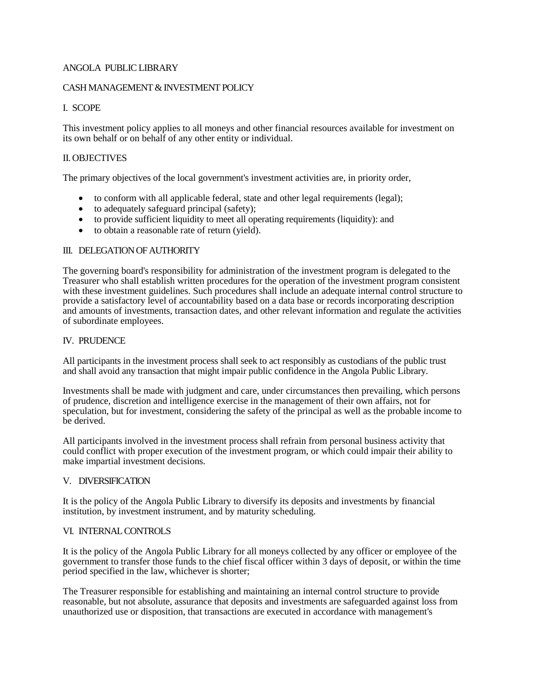### ANGOLA PUBLIC LIBRARY

### CASH MANAGEMENT & INVESTMENT POLICY

# I. SCOPE

This investment policy applies to all moneys and other financial resources available for investment on its own behalf or on behalf of any other entity or individual.

## II.OBJECTIVES

The primary objectives of the local government's investment activities are, in priority order,

- to conform with all applicable federal, state and other legal requirements (legal);
- to adequately safeguard principal (safety);
- to provide sufficient liquidity to meet all operating requirements (liquidity): and
- to obtain a reasonable rate of return (yield).

### III. DELEGATION OF AUTHORITY

The governing board's responsibility for administration of the investment program is delegated to the Treasurer who shall establish written procedures for the operation of the investment program consistent with these investment guidelines. Such procedures shall include an adequate internal control structure to provide a satisfactory level of accountability based on a data base or records incorporating description and amounts of investments, transaction dates, and other relevant information and regulate the activities of subordinate employees.

### IV. PRUDENCE

All participants in the investment process shall seek to act responsibly as custodians of the public trust and shall avoid any transaction that might impair public confidence in the Angola Public Library.

Investments shall be made with judgment and care, under circumstances then prevailing, which persons of prudence, discretion and intelligence exercise in the management of their own affairs, not for speculation, but for investment, considering the safety of the principal as well as the probable income to be derived.

All participants involved in the investment process shall refrain from personal business activity that could conflict with proper execution of the investment program, or which could impair their ability to make impartial investment decisions.

#### V. DIVERSIFICATION

It is the policy of the Angola Public Library to diversify its deposits and investments by financial institution, by investment instrument, and by maturity scheduling.

#### VI. INTERNAL CONTROLS

It is the policy of the Angola Public Library for all moneys collected by any officer or employee of the government to transfer those funds to the chief fiscal officer within 3 days of deposit, or within the time period specified in the law, whichever is shorter;

The Treasurer responsible for establishing and maintaining an internal control structure to provide reasonable, but not absolute, assurance that deposits and investments are safeguarded against loss from unauthorized use or disposition, that transactions are executed in accordance with management's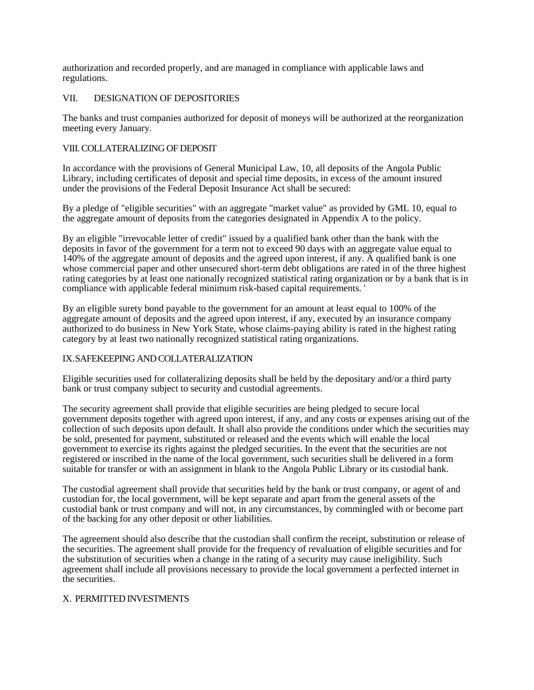authorization and recorded properly, and are managed in compliance with applicable laws and regulations.

# VII. DESIGNATION OF DEPOSITORIES

The banks and trust companies authorized for deposit of moneys will be authorized at the reorganization meeting every January.

### VIII.COLLATERALIZING OF DEPOSIT

In accordance with the provisions of General Municipal Law, 10, all deposits of the Angola Public Library, including certificates of deposit and special time deposits, in excess of the amount insured under the provisions of the Federal Deposit Insurance Act shall be secured:

By a pledge of "eligible securities" with an aggregate "market value" as provided by GML 10, equal to the aggregate amount of deposits from the categories designated in Appendix A to the policy.

By an eligible "irrevocable letter of credit" issued by a qualified bank other than the bank with the deposits in favor of the government for a term not to exceed 90 days with an aggregate value equal to 140% of the aggregate amount of deposits and the agreed upon interest, if any. A qualified bank is one whose commercial paper and other unsecured short-term debt obligations are rated in of the three highest rating categories by at least one nationally recognized statistical rating organization or by a bank that is in compliance with applicable federal minimum risk-based capital requirements. '

By an eligible surety bond payable to the government for an amount at least equal to 100% of the aggregate amount of deposits and the agreed upon interest, if any, executed by an insurance company authorized to do business in New York State, whose claims-paying ability is rated in the highest rating category by at least two nationally recognized statistical rating organizations.

#### IX.SAFEKEEPING AND COLLATERALIZATION

Eligible securities used for collateralizing deposits shall be held by the depositary and/or a third party bank or trust company subject to security and custodial agreements.

The security agreement shall provide that eligible securities are being pledged to secure local government deposits together with agreed upon interest, if any, and any costs or expenses arising out of the collection of such deposits upon default. It shall also provide the conditions under which the securities may be sold, presented for payment, substituted or released and the events which will enable the local government to exercise its rights against the pledged securities. In the event that the securities are not registered or inscribed in the name of the local government, such securities shall be delivered in a form suitable for transfer or with an assignment in blank to the Angola Public Library or its custodial bank.

The custodial agreement shall provide that securities held by the bank or trust company, or agent of and custodian for, the local government, will be kept separate and apart from the general assets of the custodial bank or trust company and will not, in any circumstances, by commingled with or become part of the backing for any other deposit or other liabilities.

The agreement should also describe that the custodian shall confirm the receipt, substitution or release of the securities. The agreement shall provide for the frequency of revaluation of eligible securities and for the substitution of securities when a change in the rating of a security may cause ineligibility. Such agreement shall include all provisions necessary to provide the local government a perfected internet in the securities.

#### X. PERMITTED INVESTMENTS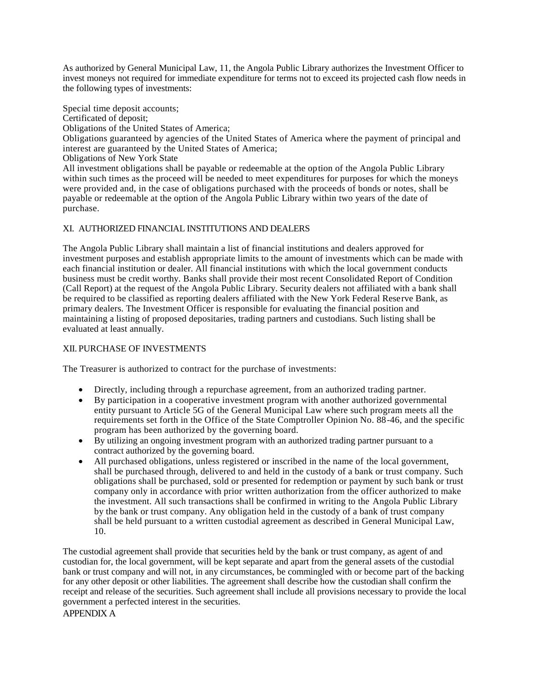As authorized by General Municipal Law, 11, the Angola Public Library authorizes the Investment Officer to invest moneys not required for immediate expenditure for terms not to exceed its projected cash flow needs in the following types of investments:

Special time deposit accounts;

Certificated of deposit;

Obligations of the United States of America;

Obligations guaranteed by agencies of the United States of America where the payment of principal and interest are guaranteed by the United States of America;

Obligations of New York State

All investment obligations shall be payable or redeemable at the option of the Angola Public Library within such times as the proceed will be needed to meet expenditures for purposes for which the moneys were provided and, in the case of obligations purchased with the proceeds of bonds or notes, shall be payable or redeemable at the option of the Angola Public Library within two years of the date of purchase.

# XI. AUTHORIZED FINANCIAL INSTITUTIONS AND DEALERS

The Angola Public Library shall maintain a list of financial institutions and dealers approved for investment purposes and establish appropriate limits to the amount of investments which can be made with each financial institution or dealer. All financial institutions with which the local government conducts business must be credit worthy. Banks shall provide their most recent Consolidated Report of Condition (Call Report) at the request of the Angola Public Library. Security dealers not affiliated with a bank shall be required to be classified as reporting dealers affiliated with the New York Federal Reserve Bank, as primary dealers. The Investment Officer is responsible for evaluating the financial position and maintaining a listing of proposed depositaries, trading partners and custodians. Such listing shall be evaluated at least annually.

# XII. PURCHASE OF INVESTMENTS

The Treasurer is authorized to contract for the purchase of investments:

- Directly, including through a repurchase agreement, from an authorized trading partner.
- By participation in a cooperative investment program with another authorized governmental entity pursuant to Article 5G of the General Municipal Law where such program meets all the requirements set forth in the Office of the State Comptroller Opinion No. 88-46, and the specific program has been authorized by the governing board.
- By utilizing an ongoing investment program with an authorized trading partner pursuant to a contract authorized by the governing board.
- All purchased obligations, unless registered or inscribed in the name of the local government, shall be purchased through, delivered to and held in the custody of a bank or trust company. Such obligations shall be purchased, sold or presented for redemption or payment by such bank or trust company only in accordance with prior written authorization from the officer authorized to make the investment. All such transactions shall be confirmed in writing to the Angola Public Library by the bank or trust company. Any obligation held in the custody of a bank of trust company shall be held pursuant to a written custodial agreement as described in General Municipal Law, 10.

The custodial agreement shall provide that securities held by the bank or trust company, as agent of and custodian for, the local government, will be kept separate and apart from the general assets of the custodial bank or trust company and will not, in any circumstances, be commingled with or become part of the backing for any other deposit or other liabilities. The agreement shall describe how the custodian shall confirm the receipt and release of the securities. Such agreement shall include all provisions necessary to provide the local government a perfected interest in the securities.

APPENDIX A